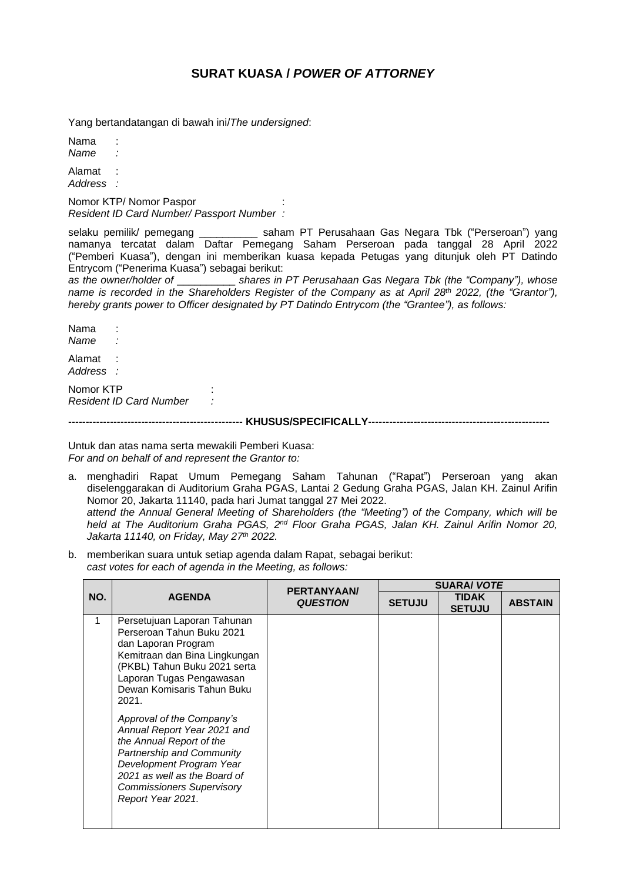## **SURAT KUASA /** *POWER OF ATTORNEY*

Yang bertandatangan di bawah ini/*The undersigned*:

Nama *Name :*

Alamat : *Address :*

Nomor KTP/ Nomor Paspor : *Resident ID Card Number/ Passport Number :*

selaku pemilik/ pemegang \_\_\_\_\_\_\_\_\_\_ saham PT Perusahaan Gas Negara Tbk ("Perseroan") yang namanya tercatat dalam Daftar Pemegang Saham Perseroan pada tanggal 28 April 2022 ("Pemberi Kuasa"), dengan ini memberikan kuasa kepada Petugas yang ditunjuk oleh PT Datindo Entrycom ("Penerima Kuasa") sebagai berikut:

*as the owner/holder of* \_\_\_\_\_\_\_\_\_\_ *shares in PT Perusahaan Gas Negara Tbk (the "Company"), whose name is recorded in the Shareholders Register of the Company as at April 28th 2022, (the "Grantor"), hereby grants power to Officer designated by PT Datindo Entrycom (the "Grantee"), as follows:*

Nama *Name :* Alamat : *Address :*

Nomor KTP : *Resident ID Card Number :*

-------------------------------------------------- **KHUSUS/SPECIFICALLY**----------------------------------------------------

Untuk dan atas nama serta mewakili Pemberi Kuasa: *For and on behalf of and represent the Grantor to:*

- a. menghadiri Rapat Umum Pemegang Saham Tahunan ("Rapat") Perseroan yang akan diselenggarakan di Auditorium Graha PGAS, Lantai 2 Gedung Graha PGAS, Jalan KH. Zainul Arifin Nomor 20, Jakarta 11140, pada hari Jumat tanggal 27 Mei 2022. *attend the Annual General Meeting of Shareholders (the "Meeting") of the Company, which will be held at The Auditorium Graha PGAS, 2 nd Floor Graha PGAS, Jalan KH. Zainul Arifin Nomor 20, Jakarta 11140, on Friday, May 27th 2022.*
- b. memberikan suara untuk setiap agenda dalam Rapat, sebagai berikut: *cast votes for each of agenda in the Meeting, as follows:*

| NO. | <b>AGENDA</b>                                                                                                                                                                                                                                                                                                                                                                                                                                                 | PERTANYAAN/<br><b>QUESTION</b> | <b>SUARA/ VOTE</b> |                               |                |  |
|-----|---------------------------------------------------------------------------------------------------------------------------------------------------------------------------------------------------------------------------------------------------------------------------------------------------------------------------------------------------------------------------------------------------------------------------------------------------------------|--------------------------------|--------------------|-------------------------------|----------------|--|
|     |                                                                                                                                                                                                                                                                                                                                                                                                                                                               |                                | <b>SETUJU</b>      | <b>TIDAK</b><br><b>SETUJU</b> | <b>ABSTAIN</b> |  |
| 1   | Persetujuan Laporan Tahunan<br>Perseroan Tahun Buku 2021<br>dan Laporan Program<br>Kemitraan dan Bina Lingkungan<br>(PKBL) Tahun Buku 2021 serta<br>Laporan Tugas Pengawasan<br>Dewan Komisaris Tahun Buku<br>2021.<br>Approval of the Company's<br>Annual Report Year 2021 and<br>the Annual Report of the<br>Partnership and Community<br>Development Program Year<br>2021 as well as the Board of<br><b>Commissioners Supervisory</b><br>Report Year 2021. |                                |                    |                               |                |  |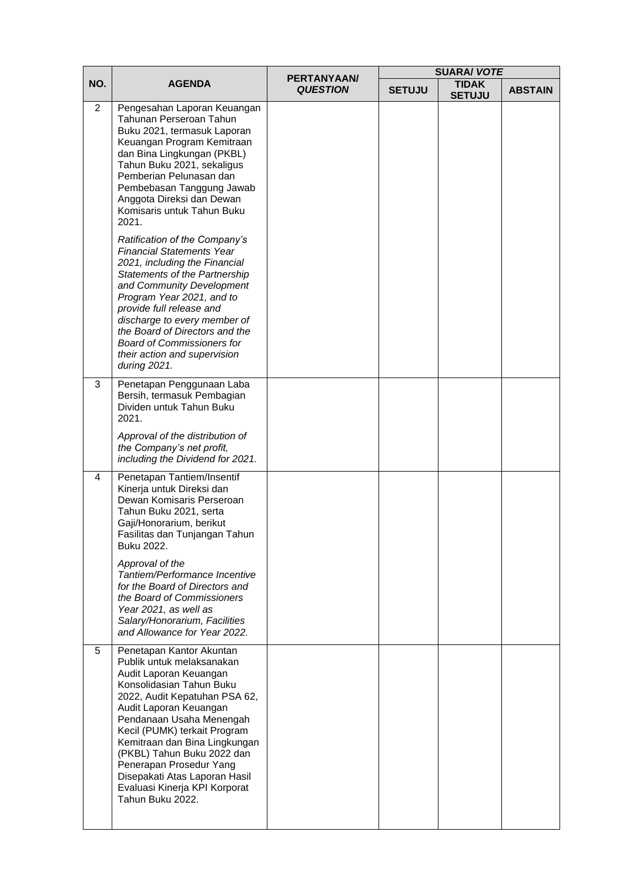| NO.            | <b>AGENDA</b>                                                                                                                                                                                                                                                                                                                                                                                                      |                                | <b>SUARA/ VOTE</b> |                               |                |
|----------------|--------------------------------------------------------------------------------------------------------------------------------------------------------------------------------------------------------------------------------------------------------------------------------------------------------------------------------------------------------------------------------------------------------------------|--------------------------------|--------------------|-------------------------------|----------------|
|                |                                                                                                                                                                                                                                                                                                                                                                                                                    | PERTANYAAN/<br><b>QUESTION</b> | <b>SETUJU</b>      | <b>TIDAK</b><br><b>SETUJU</b> | <b>ABSTAIN</b> |
| $\overline{2}$ | Pengesahan Laporan Keuangan<br>Tahunan Perseroan Tahun<br>Buku 2021, termasuk Laporan<br>Keuangan Program Kemitraan<br>dan Bina Lingkungan (PKBL)<br>Tahun Buku 2021, sekaligus<br>Pemberian Pelunasan dan<br>Pembebasan Tanggung Jawab<br>Anggota Direksi dan Dewan<br>Komisaris untuk Tahun Buku<br>2021.                                                                                                        |                                |                    |                               |                |
|                | Ratification of the Company's<br><b>Financial Statements Year</b><br>2021, including the Financial<br>Statements of the Partnership<br>and Community Development<br>Program Year 2021, and to<br>provide full release and<br>discharge to every member of<br>the Board of Directors and the<br><b>Board of Commissioners for</b><br>their action and supervision<br>during 2021.                                   |                                |                    |                               |                |
| 3              | Penetapan Penggunaan Laba<br>Bersih, termasuk Pembagian<br>Dividen untuk Tahun Buku<br>2021.                                                                                                                                                                                                                                                                                                                       |                                |                    |                               |                |
|                | Approval of the distribution of<br>the Company's net profit,<br>including the Dividend for 2021.                                                                                                                                                                                                                                                                                                                   |                                |                    |                               |                |
| $\overline{4}$ | Penetapan Tantiem/Insentif<br>Kinerja untuk Direksi dan<br>Dewan Komisaris Perseroan<br>Tahun Buku 2021, serta<br>Gaji/Honorarium, berikut<br>Fasilitas dan Tunjangan Tahun<br>Buku 2022.                                                                                                                                                                                                                          |                                |                    |                               |                |
|                | Approval of the<br>Tantiem/Performance Incentive<br>for the Board of Directors and<br>the Board of Commissioners<br>Year 2021, as well as<br>Salary/Honorarium, Facilities<br>and Allowance for Year 2022.                                                                                                                                                                                                         |                                |                    |                               |                |
| 5              | Penetapan Kantor Akuntan<br>Publik untuk melaksanakan<br>Audit Laporan Keuangan<br>Konsolidasian Tahun Buku<br>2022, Audit Kepatuhan PSA 62,<br>Audit Laporan Keuangan<br>Pendanaan Usaha Menengah<br>Kecil (PUMK) terkait Program<br>Kemitraan dan Bina Lingkungan<br>(PKBL) Tahun Buku 2022 dan<br>Penerapan Prosedur Yang<br>Disepakati Atas Laporan Hasil<br>Evaluasi Kinerja KPI Korporat<br>Tahun Buku 2022. |                                |                    |                               |                |